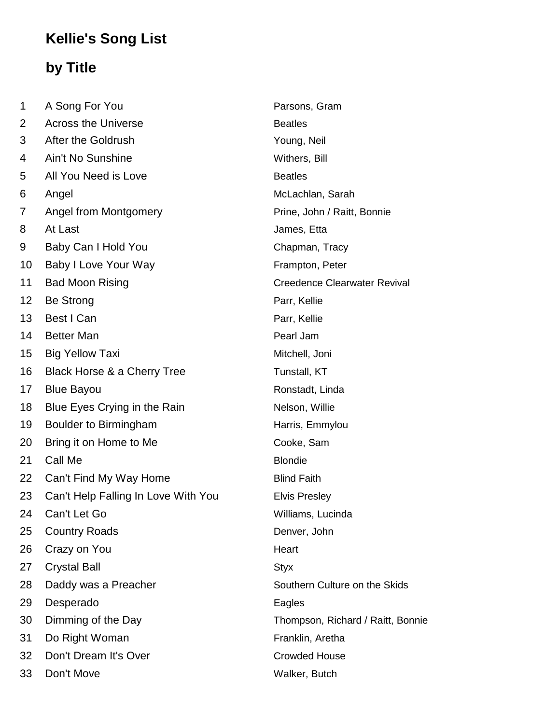## **Kellie's Song List**

## **by Title**

| 1               | A Song For You                      | Parsons, Gram                       |
|-----------------|-------------------------------------|-------------------------------------|
| 2               | <b>Across the Universe</b>          | <b>Beatles</b>                      |
| 3               | After the Goldrush                  | Young, Neil                         |
| 4               | Ain't No Sunshine                   | Withers, Bill                       |
| 5               | All You Need is Love                | <b>Beatles</b>                      |
| 6               | Angel                               | McLachlan, Sarah                    |
| 7               | Angel from Montgomery               | Prine, John / Raitt, Bonnie         |
| 8               | At Last                             | James, Etta                         |
| 9               | Baby Can I Hold You                 | Chapman, Tracy                      |
| 10              | Baby I Love Your Way                | Frampton, Peter                     |
| 11              | <b>Bad Moon Rising</b>              | <b>Creedence Clearwater Revival</b> |
| 12 <sub>2</sub> | Be Strong                           | Parr, Kellie                        |
| 13              | Best I Can                          | Parr, Kellie                        |
| 14              | <b>Better Man</b>                   | Pearl Jam                           |
| 15              | <b>Big Yellow Taxi</b>              | Mitchell, Joni                      |
| 16              | Black Horse & a Cherry Tree         | Tunstall, KT                        |
| 17              | <b>Blue Bayou</b>                   | Ronstadt, Linda                     |
| 18              | Blue Eyes Crying in the Rain        | Nelson, Willie                      |
| 19              | Boulder to Birmingham               | Harris, Emmylou                     |
| 20              | Bring it on Home to Me              | Cooke, Sam                          |
| 21              | Call Me                             | <b>Blondie</b>                      |
| 22              | Can't Find My Way Home              | <b>Blind Faith</b>                  |
| 23              | Can't Help Falling In Love With You | <b>Elvis Presley</b>                |
| 24              | Can't Let Go                        | Williams, Lucinda                   |
| 25              | <b>Country Roads</b>                | Denver, John                        |
| 26              | Crazy on You                        | Heart                               |
| 27              | <b>Crystal Ball</b>                 | <b>Styx</b>                         |
| 28              | Daddy was a Preacher                | Southern Culture on the Skids       |
| 29              | Desperado                           | Eagles                              |
| 30              | Dimming of the Day                  | Thompson, Richard / Raitt, Bonnie   |
| 31              | Do Right Woman                      | Franklin, Aretha                    |
| 32              | Don't Dream It's Over               | <b>Crowded House</b>                |
| 33              | Don't Move                          | Walker, Butch                       |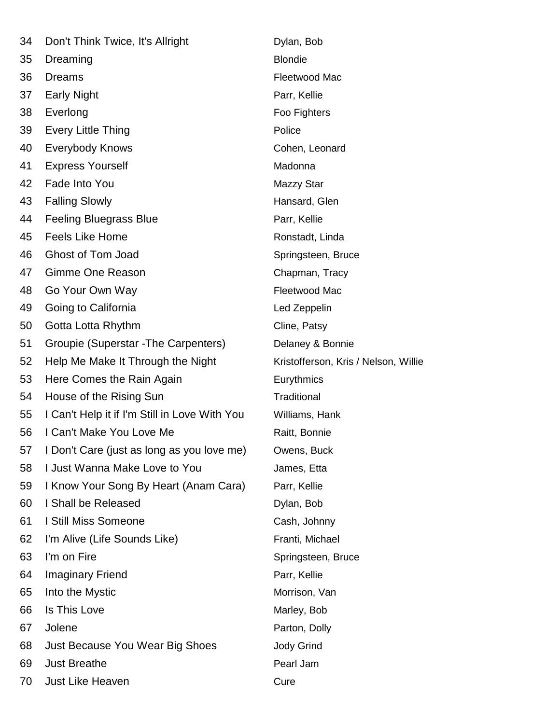| 34 | Don't Think Twice, It's Allright              | Dylan, Bob                           |
|----|-----------------------------------------------|--------------------------------------|
| 35 | Dreaming                                      | <b>Blondie</b>                       |
| 36 | <b>Dreams</b>                                 | Fleetwood Mac                        |
| 37 | <b>Early Night</b>                            | Parr, Kellie                         |
| 38 | Everlong                                      | Foo Fighters                         |
| 39 | <b>Every Little Thing</b>                     | Police                               |
| 40 | <b>Everybody Knows</b>                        | Cohen, Leonard                       |
| 41 | <b>Express Yourself</b>                       | Madonna                              |
| 42 | Fade Into You                                 | Mazzy Star                           |
| 43 | <b>Falling Slowly</b>                         | Hansard, Glen                        |
| 44 | <b>Feeling Bluegrass Blue</b>                 | Parr, Kellie                         |
| 45 | <b>Feels Like Home</b>                        | Ronstadt, Linda                      |
| 46 | Ghost of Tom Joad                             | Springsteen, Bruce                   |
| 47 | Gimme One Reason                              | Chapman, Tracy                       |
| 48 | Go Your Own Way                               | Fleetwood Mac                        |
| 49 | Going to California                           | Led Zeppelin                         |
| 50 | Gotta Lotta Rhythm                            | Cline, Patsy                         |
| 51 | Groupie (Superstar - The Carpenters)          | Delaney & Bonnie                     |
| 52 | Help Me Make It Through the Night             | Kristofferson, Kris / Nelson, Willie |
| 53 | Here Comes the Rain Again                     | Eurythmics                           |
| 54 | House of the Rising Sun                       | Traditional                          |
| 55 | I Can't Help it if I'm Still in Love With You | Williams, Hank                       |
| 56 | I Can't Make You Love Me                      | Raitt, Bonnie                        |
| 57 | I Don't Care (just as long as you love me)    | Owens, Buck                          |
| 58 | I Just Wanna Make Love to You                 | James, Etta                          |
| 59 | I Know Your Song By Heart (Anam Cara)         | Parr, Kellie                         |
| 60 | I Shall be Released                           | Dylan, Bob                           |
| 61 | I Still Miss Someone                          | Cash, Johnny                         |
| 62 | I'm Alive (Life Sounds Like)                  | Franti, Michael                      |
| 63 | I'm on Fire                                   | Springsteen, Bruce                   |
| 64 | <b>Imaginary Friend</b>                       | Parr, Kellie                         |
| 65 | Into the Mystic                               | Morrison, Van                        |
| 66 | Is This Love                                  | Marley, Bob                          |
| 67 | Jolene                                        | Parton, Dolly                        |
| 68 | Just Because You Wear Big Shoes               | <b>Jody Grind</b>                    |
| 69 | <b>Just Breathe</b>                           | Pearl Jam                            |
| 70 | Just Like Heaven                              | Cure                                 |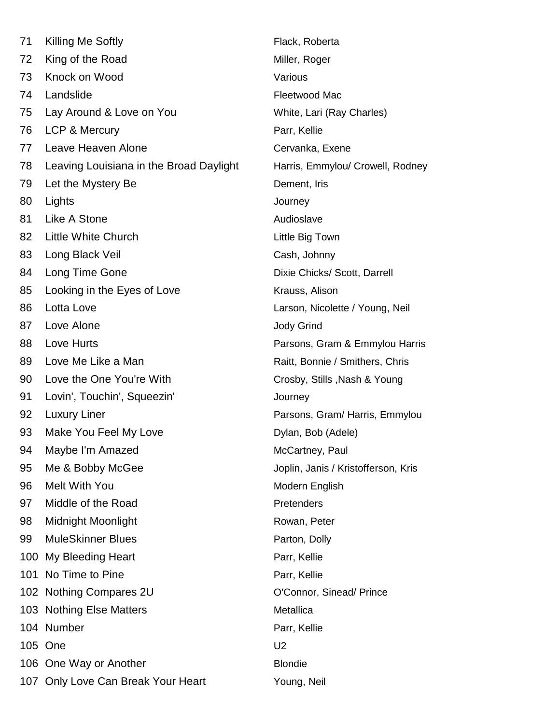71 Killing Me Softly **Flack, Roberta** 72 King of the Road Miller, Roger 73 Knock on Wood Various 74 Landslide **Fleetwood Mac** 75 Lay Around & Love on You White, Lari (Ray Charles) 76 LCP & Mercury **Parrent Control** Parr, Kellie 77 Leave Heaven Alone Cervanka, Exene 78 Leaving Louisiana in the Broad Daylight Harris, Emmylou/ Crowell, Rodney 79 Let the Mystery Be **Dement**, Iris 80 Lights **Journey** 81 Like A Stone **Audioslave** Audioslave 82 Little White Church Little Big Town 83 Long Black Veil Cash, Johnny 84 Long Time Gone **Dixie Chicks**/ Scott, Darrell 85 Looking in the Eyes of Love **Krauss**, Alison 86 Lotta Love Larson, Nicolette / Young, Neil 87 Love Alone **Alone Love Alone Jody Grind** 88 Love Hurts **Parsons, Gram & Emmylou Harris** 89 Love Me Like a Man Raitt, Bonnie / Smithers, Chris 90 Love the One You're With Crosby, Stills ,Nash & Young 91 Lovin', Touchin', Squeezin' Journey 92 Luxury Liner **Parsons, Gram/ Harris, Emmylou** 93 Make You Feel My Love Dylan, Bob (Adele) 94 Maybe I'm Amazed McCartney, Paul 95 Me & Bobby McGee Joplin, Janis / Kristofferson, Kristofferson, Kristofferson, A 96 Melt With You **Modern English** 97 Middle of the Road Pretenders 98 Midnight Moonlight **Moonlight Rowan**, Peter 99 MuleSkinner Blues **Parton**, Dolly 100 My Bleeding Heart **Parrent Parrent Parr**, Kellie 101 No Time to Pine **Parrelli** Parr, Kellie 102 Nothing Compares 2U COCONNOV COMPATED STATES 103 Nothing Else Matters **Metallica** 104 Number Parr, Kellie 105 One U2 106 One Way or Another **Blondie** Blondie 107 Only Love Can Break Your Heart Young, Neil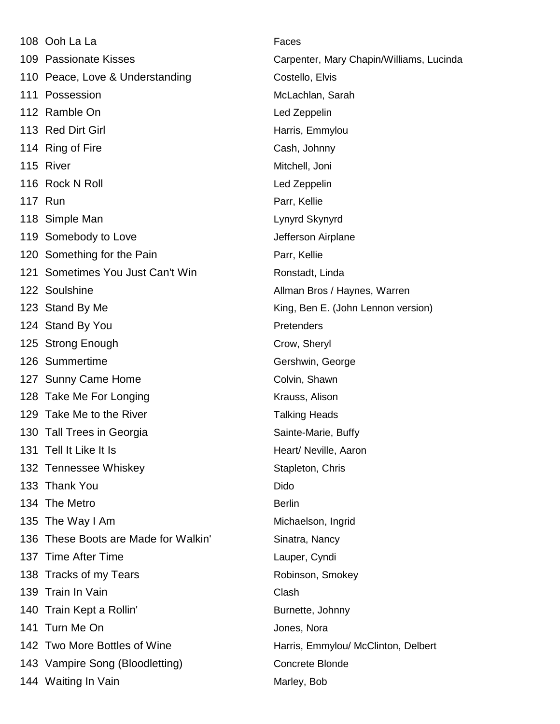|     | 108 Ooh La La                        | Faces                                    |
|-----|--------------------------------------|------------------------------------------|
|     | 109 Passionate Kisses                | Carpenter, Mary Chapin/Williams, Lucinda |
|     | 110 Peace, Love & Understanding      | Costello, Elvis                          |
|     | 111 Possession                       | McLachlan, Sarah                         |
|     | 112 Ramble On                        | Led Zeppelin                             |
|     | 113 Red Dirt Girl                    | Harris, Emmylou                          |
|     | 114 Ring of Fire                     | Cash, Johnny                             |
|     | 115 River                            | Mitchell, Joni                           |
|     | 116 Rock N Roll                      | Led Zeppelin                             |
|     | <b>117 Run</b>                       | Parr, Kellie                             |
|     | 118 Simple Man                       | Lynyrd Skynyrd                           |
|     | 119 Somebody to Love                 | Jefferson Airplane                       |
|     | 120 Something for the Pain           | Parr, Kellie                             |
|     | 121 Sometimes You Just Can't Win     | Ronstadt, Linda                          |
|     | 122 Soulshine                        | Allman Bros / Haynes, Warren             |
|     | 123 Stand By Me                      | King, Ben E. (John Lennon version)       |
|     | 124 Stand By You                     | Pretenders                               |
|     | 125 Strong Enough                    | Crow, Sheryl                             |
|     | 126 Summertime                       | Gershwin, George                         |
|     | 127 Sunny Came Home                  | Colvin, Shawn                            |
|     | 128 Take Me For Longing              | Krauss, Alison                           |
|     | 129 Take Me to the River             | <b>Talking Heads</b>                     |
|     | 130 Tall Trees in Georgia            | Sainte-Marie, Buffy                      |
| 131 | Tell It Like It Is                   | Heart/ Neville, Aaron                    |
|     | 132 Tennessee Whiskey                | Stapleton, Chris                         |
|     | 133 Thank You                        | Dido                                     |
|     | 134 The Metro                        | <b>Berlin</b>                            |
|     | 135 The Way I Am                     | Michaelson, Ingrid                       |
|     | 136 These Boots are Made for Walkin' | Sinatra, Nancy                           |
|     | 137 Time After Time                  | Lauper, Cyndi                            |
|     | 138 Tracks of my Tears               | Robinson, Smokey                         |
|     | 139 Train In Vain                    | Clash                                    |
|     | 140 Train Kept a Rollin'             | Burnette, Johnny                         |
|     | 141 Turn Me On                       | Jones, Nora                              |
|     | 142 Two More Bottles of Wine         | Harris, Emmylou/ McClinton, Delbert      |
|     | 143 Vampire Song (Bloodletting)      | Concrete Blonde                          |
|     | 144 Waiting In Vain                  | Marley, Bob                              |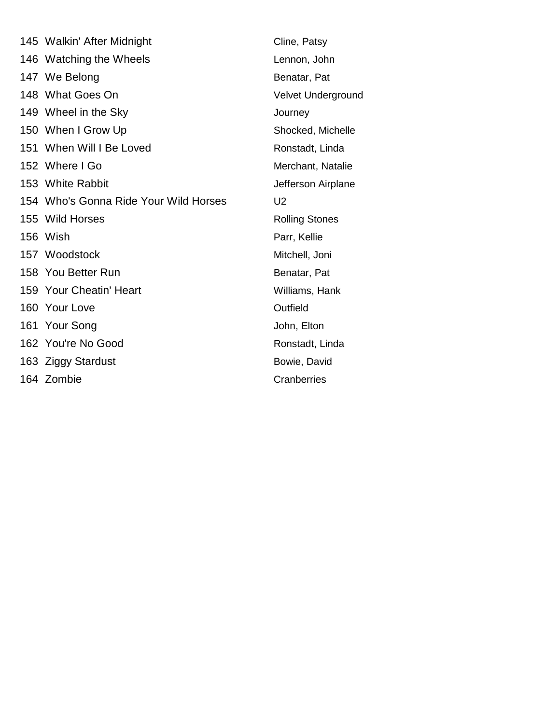| 145 Walkin' After Midnight            | Cline, Patsy          |
|---------------------------------------|-----------------------|
| 146 Watching the Wheels               | Lennon, John          |
| 147 We Belong                         | Benatar, Pat          |
| 148 What Goes On                      | Velvet Underground    |
| 149 Wheel in the Sky                  | Journey               |
| 150 When I Grow Up                    | Shocked, Michelle     |
| 151 When Will I Be Loved              | Ronstadt, Linda       |
| 152 Where I Go                        | Merchant, Natalie     |
| 153 White Rabbit                      | Jefferson Airplane    |
| 154 Who's Gonna Ride Your Wild Horses | U <sub>2</sub>        |
| 155 Wild Horses                       | <b>Rolling Stones</b> |
| 156 Wish                              | Parr, Kellie          |
| 157 Woodstock                         | Mitchell, Joni        |
| 158 You Better Run                    | Benatar, Pat          |
| 159 Your Cheatin' Heart               | Williams, Hank        |
| 160 Your Love                         | Outfield              |
| 161 Your Song                         | John, Elton           |
| 162 You're No Good                    | Ronstadt, Linda       |
| 163 Ziggy Stardust                    | Bowie, David          |
| 164 Zombie                            | Cranberries           |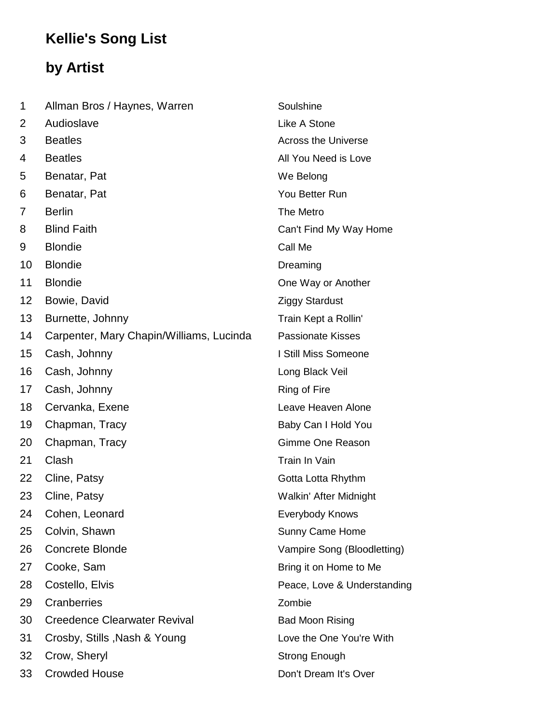## **Kellie's Song List**

## **by Artist**

| 1  | Allman Bros / Haynes, Warren             | Soulshine                   |
|----|------------------------------------------|-----------------------------|
| 2  | Audioslave                               | Like A Stone                |
| 3  | <b>Beatles</b>                           | <b>Across the Universe</b>  |
| 4  | <b>Beatles</b>                           | All You Need is Love        |
| 5  | Benatar, Pat                             | We Belong                   |
| 6  | Benatar, Pat                             | You Better Run              |
| 7  | <b>Berlin</b>                            | The Metro                   |
| 8  | <b>Blind Faith</b>                       | Can't Find My Way Home      |
| 9  | <b>Blondie</b>                           | Call Me                     |
| 10 | <b>Blondie</b>                           | Dreaming                    |
| 11 | <b>Blondie</b>                           | One Way or Another          |
| 12 | Bowie, David                             | <b>Ziggy Stardust</b>       |
| 13 | Burnette, Johnny                         | Train Kept a Rollin'        |
| 14 | Carpenter, Mary Chapin/Williams, Lucinda | <b>Passionate Kisses</b>    |
| 15 | Cash, Johnny                             | I Still Miss Someone        |
| 16 | Cash, Johnny                             | Long Black Veil             |
| 17 | Cash, Johnny                             | Ring of Fire                |
| 18 | Cervanka, Exene                          | Leave Heaven Alone          |
| 19 | Chapman, Tracy                           | Baby Can I Hold You         |
| 20 | Chapman, Tracy                           | Gimme One Reason            |
| 21 | Clash                                    | Train In Vain               |
| 22 | Cline, Patsy                             | Gotta Lotta Rhythm          |
| 23 | Cline, Patsy                             | Walkin' After Midnight      |
| 24 | Cohen, Leonard                           | Everybody Knows             |
| 25 | Colvin, Shawn                            | <b>Sunny Came Home</b>      |
| 26 | <b>Concrete Blonde</b>                   | Vampire Song (Bloodletting) |
| 27 | Cooke, Sam                               | Bring it on Home to Me      |
| 28 | Costello, Elvis                          | Peace, Love & Understanding |
| 29 | Cranberries                              | Zombie                      |
| 30 | <b>Creedence Clearwater Revival</b>      | <b>Bad Moon Rising</b>      |
| 31 | Crosby, Stills, Nash & Young             | Love the One You're With    |
| 32 | Crow, Sheryl                             | <b>Strong Enough</b>        |
| 33 | <b>Crowded House</b>                     | Don't Dream It's Over       |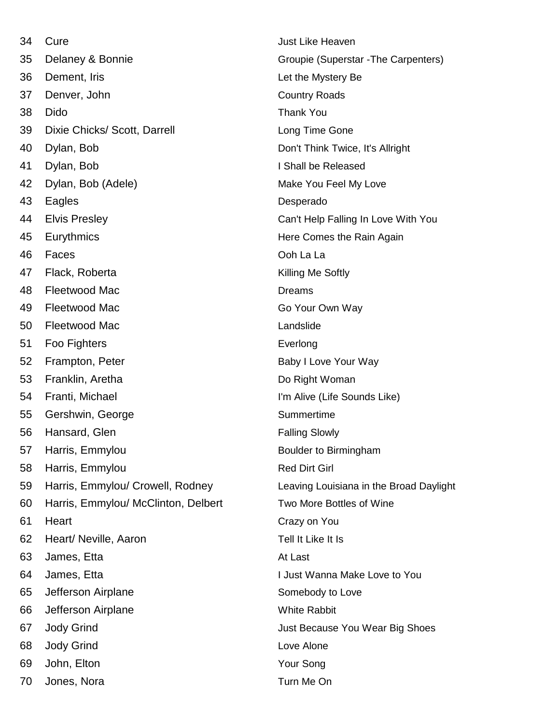| 34 | Cure                                | Just Like Heaven                        |
|----|-------------------------------------|-----------------------------------------|
| 35 | Delaney & Bonnie                    | Groupie (Superstar - The Carpenters)    |
| 36 | Dement, Iris                        | Let the Mystery Be                      |
| 37 | Denver, John                        | <b>Country Roads</b>                    |
| 38 | <b>Dido</b>                         | <b>Thank You</b>                        |
| 39 | Dixie Chicks/ Scott, Darrell        | Long Time Gone                          |
| 40 | Dylan, Bob                          | Don't Think Twice, It's Allright        |
| 41 | Dylan, Bob                          | I Shall be Released                     |
| 42 | Dylan, Bob (Adele)                  | Make You Feel My Love                   |
| 43 | Eagles                              | Desperado                               |
| 44 | <b>Elvis Presley</b>                | Can't Help Falling In Love With You     |
| 45 | Eurythmics                          | Here Comes the Rain Again               |
| 46 | Faces                               | Ooh La La                               |
| 47 | Flack, Roberta                      | Killing Me Softly                       |
| 48 | <b>Fleetwood Mac</b>                | <b>Dreams</b>                           |
| 49 | <b>Fleetwood Mac</b>                | Go Your Own Way                         |
| 50 | Fleetwood Mac                       | Landslide                               |
| 51 | Foo Fighters                        | Everlong                                |
| 52 | Frampton, Peter                     | Baby I Love Your Way                    |
| 53 | Franklin, Aretha                    | Do Right Woman                          |
| 54 | Franti, Michael                     | I'm Alive (Life Sounds Like)            |
| 55 | Gershwin, George                    | Summertime                              |
| 56 | Hansard, Glen                       | <b>Falling Slowly</b>                   |
| 57 | Harris, Emmylou                     | Boulder to Birmingham                   |
| 58 | Harris, Emmylou                     | <b>Red Dirt Girl</b>                    |
| 59 | Harris, Emmylou/ Crowell, Rodney    | Leaving Louisiana in the Broad Daylight |
| 60 | Harris, Emmylou/ McClinton, Delbert | Two More Bottles of Wine                |
| 61 | Heart                               | Crazy on You                            |
| 62 | Heart/ Neville, Aaron               | Tell It Like It Is                      |
| 63 | James, Etta                         | At Last                                 |
| 64 | James, Etta                         | I Just Wanna Make Love to You           |
| 65 | Jefferson Airplane                  | Somebody to Love                        |
| 66 | Jefferson Airplane                  | <b>White Rabbit</b>                     |
| 67 | <b>Jody Grind</b>                   | Just Because You Wear Big Shoes         |
| 68 | <b>Jody Grind</b>                   | Love Alone                              |
| 69 | John, Elton                         | Your Song                               |
| 70 | Jones, Nora                         | Turn Me On                              |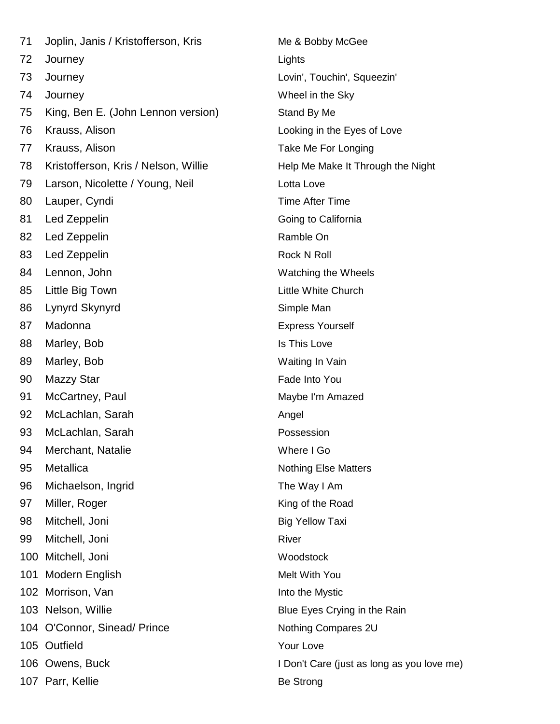| 71  | Joplin, Janis / Kristofferson, Kris  | $Me$ & $ $    |
|-----|--------------------------------------|---------------|
| 72  | Journey                              | Lights        |
| 73  | Journey                              | Lovin',       |
| 74  | Journey                              | Wheel         |
| 75  | King, Ben E. (John Lennon version)   | Stand         |
| 76  | Krauss, Alison                       | Lookir        |
| 77  | Krauss, Alison                       | Take I        |
| 78  | Kristofferson, Kris / Nelson, Willie | Help N        |
| 79  | Larson, Nicolette / Young, Neil      | Lotta l       |
| 80  | Lauper, Cyndi                        | Time /        |
| 81  | Led Zeppelin                         | Going         |
| 82  | Led Zeppelin                         | Ramb          |
| 83  | Led Zeppelin                         | Rock I        |
| 84  | Lennon, John                         | Watch         |
| 85  | Little Big Town                      | Little V      |
| 86  | Lynyrd Skynyrd                       | Simple        |
| 87  | Madonna                              | <b>Expres</b> |
| 88  | Marley, Bob                          | Is This       |
| 89  | Marley, Bob                          | Waitin        |
| 90  | Mazzy Star                           | Fade I        |
| 91  | McCartney, Paul                      | Maybe         |
| 92  | McLachlan, Sarah                     | Angel         |
| 93  | McLachlan, Sarah                     | Posse         |
| 94  | Merchant, Natalie                    | Where         |
| 95  | Metallica                            | Nothin        |
| 96  | Michaelson, Ingrid                   | The W         |
| 97  | Miller, Roger                        | King o        |
| 98  | Mitchell, Joni                       | Big Ye        |
| 99  | Mitchell, Joni                       | River         |
|     | 100 Mitchell, Joni                   | Wood:         |
| 101 | Modern English                       | Melt V        |
|     | 102 Morrison, Van                    | Into th       |
|     | 103 Nelson, Willie                   | <b>Blue E</b> |
|     | 104 O'Connor, Sinead/ Prince         | Nothin        |
|     | 105 Outfield                         | Your L        |
|     | 106 Owens, Buck                      | I Don't       |
|     | 107 Parr, Kellie                     | Be Str        |
|     |                                      |               |

Me & Bobby McGee Lovin', Touchin', Squeezin' Wheel in the Sky Stand By Me. Looking in the Eyes of Love Take Me For Longing Help Me Make It Through the Night Lotta Love Time After Time Going to California Ramble On Rock N Roll Watching the Wheels Little White Church Simple Man **Express Yourself** Is This Love Waiting In Vain Fade Into You Maybe I'm Amazed Possession Where I Go Nothing Else Matters The Way I Am King of the Road **Big Yellow Taxi** Woodstock Melt With You Into the Mystic Blue Eyes Crying in the Rain Nothing Compares 2U Your Love I Don't Care (just as long as you love me) Be Strong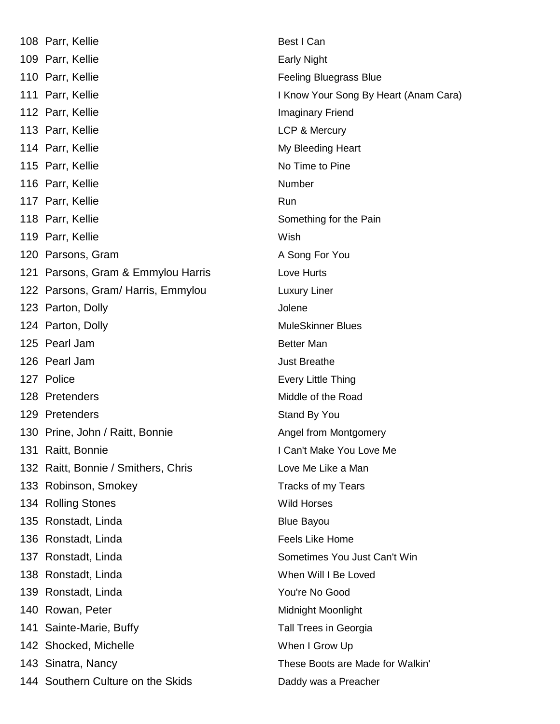108 Parr, Kellie Best I Can 109 Parr, Kellie **Early Night** Early Night 110 Parr, Kellie Feeling Bluegrass Blue 111 Parr, Kellie **I Know Your Song By Heart (Anam Cara)** 112 Parr, Kellie **Imaginary Friend** 113 Parr, Kellie **LCP & Mercury** 114 Parr, Kellie My Bleeding Heart 115 Parr, Kellie No Time to Pine 116 Parr, Kellie Number 117 Parr, Kellie Run 118 Parr, Kellie Something for the Pain 119 Parr, Kellie Wish 120 Parsons, Gram A Song For You 121 Parsons, Gram & Emmylou Harris Love Hurts 122 Parsons, Gram/Harris, Emmylou Luxury Liner 123 Parton, Dolly **Jolene** 124 Parton, Dolly **MuleSkinner Blues** MuleSkinner Blues 125 Pearl Jam Better Man 126 Pearl Jam Just Breathe 127 Police **Every Little Thing** 128 Pretenders **Middle of the Road** 129 Pretenders Stand By You 130 Prine, John / Raitt, Bonnie **Angel from Montgomery** 131 Raitt, Bonnie **I Can't Make You Love Me** 132 Raitt, Bonnie / Smithers, Chris Love Me Like a Man 133 Robinson, Smokey Tracks of my Tears 134 Rolling Stones Wild Horses 135 Ronstadt, Linda Blue Bayou 136 Ronstadt, Linda **Feels Like Home** 137 Ronstadt, Linda **Sometimes You Just Can't Win** 138 Ronstadt, Linda When Will I Be Loved 139 Ronstadt, Linda You're No Good 140 Rowan, Peter **Midnight Moonlight** Moonlight 141 Sainte-Marie, Buffy Tall Trees in Georgia 142 Shocked, Michelle When I Grow Up 143 Sinatra, Nancy **These Boots are Made for Walkin'** 144 Southern Culture on the Skids Daddy was a Preacher